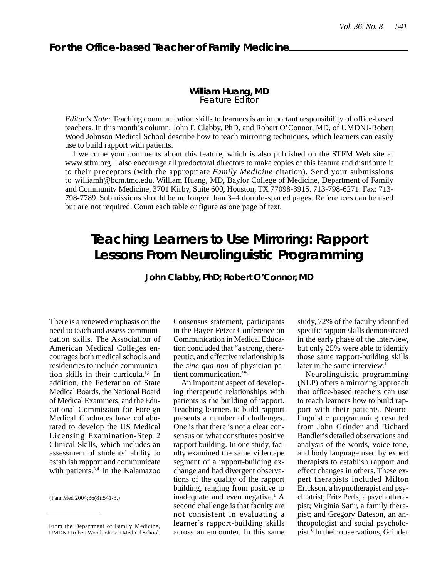## **William Huang, MD** Feature Editor

*Editor's Note:* Teaching communication skills to learners is an important responsibility of office-based teachers. In this month's column, John F. Clabby, PhD, and Robert O'Connor, MD, of UMDNJ-Robert Wood Johnson Medical School describe how to teach mirroring techniques, which learners can easily use to build rapport with patients.

I welcome your comments about this feature, which is also published on the STFM Web site at www.stfm.org. I also encourage all predoctoral directors to make copies of this feature and distribute it to their preceptors (with the appropriate *Family Medicine* citation). Send your submissions to williamh@bcm.tmc.edu. William Huang, MD, Baylor College of Medicine, Department of Family and Community Medicine, 3701 Kirby, Suite 600, Houston, TX 77098-3915. 713-798-6271. Fax: 713- 798-7789. Submissions should be no longer than 3–4 double-spaced pages. References can be used but are not required. Count each table or figure as one page of text.

# **Teaching Learners to Use Mirroring: Rapport Lessons From Neurolinguistic Programming**

**John Clabby, PhD; Robert O'Connor, MD**

There is a renewed emphasis on the need to teach and assess communication skills. The Association of American Medical Colleges encourages both medical schools and residencies to include communication skills in their curricula.1,2 In addition, the Federation of State Medical Boards, the National Board of Medical Examiners, and the Educational Commission for Foreign Medical Graduates have collaborated to develop the US Medical Licensing Examination-Step 2 Clinical Skills, which includes an assessment of students' ability to establish rapport and communicate with patients.<sup>3,4</sup> In the Kalamazoo

(Fam Med 2004;36(8):541-3.)

Consensus statement, participants in the Bayer-Fetzer Conference on Communication in Medical Education concluded that "a strong, therapeutic, and effective relationship is the *sine qua non* of physician-patient communication."<sup>5</sup>

An important aspect of developing therapeutic relationships with patients is the building of rapport. Teaching learners to build rapport presents a number of challenges. One is that there is not a clear consensus on what constitutes positive rapport building. In one study, faculty examined the same videotape segment of a rapport-building exchange and had divergent observations of the quality of the rapport building, ranging from positive to inadequate and even negative.<sup>1</sup> A second challenge is that faculty are not consistent in evaluating a learner's rapport-building skills across an encounter. In this same study, 72% of the faculty identified specific rapport skills demonstrated in the early phase of the interview, but only 25% were able to identify those same rapport-building skills later in the same interview.<sup>1</sup>

Neurolinguistic programming (NLP) offers a mirroring approach that office-based teachers can use to teach learners how to build rapport with their patients. Neurolinguistic programming resulted from John Grinder and Richard Bandler's detailed observations and analysis of the words, voice tone, and body language used by expert therapists to establish rapport and effect changes in others. These expert therapists included Milton Erickson, a hypnotherapist and psychiatrist; Fritz Perls, a psychotherapist; Virginia Satir, a family therapist; and Gregory Bateson, an anthropologist and social psychologist.<sup>6</sup> In their observations, Grinder

From the Department of Family Medicine, UMDNJ-Robert Wood Johnson Medical School.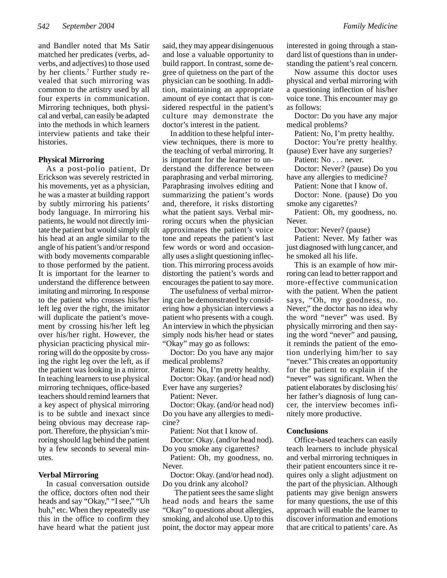and Bandler noted that Ms Satir matched her predicates (verbs, adverbs, and adjectives) to those used by her clients.<sup>7</sup> Further study revealed that such mirroring was common to the artistry used by all four experts in communication. Mirroring techniques, both physical and verbal, can easily be adapted into the methods in which learners interview patients and take their histories.

### **Physical Mirroring**

As a post-polio patient, Dr Erickson was severely restricted in his movements, yet as a physician, he was a master at building rapport by subtly mirroring his patients' body language. In mirroring his patients, he would not directly imitate the patient but would simply tilt his head at an angle similar to the angle of his patient's and/or respond with body movements comparable to those performed by the patient. It is important for the learner to understand the difference between imitating and mirroring. In response to the patient who crosses his/her left leg over the right, the imitator will duplicate the patient's movement by crossing his/her left leg over his/her right. However, the physician practicing physical mirroring will do the opposite by crossing the right leg over the left, as if the patient was looking in a mirror. In teaching learners to use physical mirroring techniques, office-based teachers should remind learners that a key aspect of physical mirroring is to be subtle and inexact since being obvious may decrease rapport. Therefore, the physician's mirroring should lag behind the patient by a few seconds to several minutes.

#### **Verbal Mirroring**

In casual conversation outside the office, doctors often nod their heads and say "Okay," "I see," "Uh huh," etc. When they repeatedly use this in the office to confirm they have heard what the patient just said, they may appear disingenuous and lose a valuable opportunity to build rapport. In contrast, some degree of quietness on the part of the physician can be soothing. In addition, maintaining an appropriate amount of eye contact that is considered respectful in the patient's culture may demonstrate the doctor's interest in the patient.

In addition to these helpful interview techniques, there is more to the teaching of verbal mirroring. It is important for the learner to understand the difference between paraphrasing and verbal mirroring. Paraphrasing involves editing and summarizing the patient's words and, therefore, it risks distorting what the patient says. Verbal mirroring occurs when the physician approximates the patient's voice tone and repeats the patient's last few words or word and occasionally uses a slight questioning inflection. This mirroring process avoids distorting the patient's words and encourages the patient to say more.

The usefulness of verbal mirroring can be demonstrated by considering how a physician interviews a patient who presents with a cough. An interview in which the physician simply nods his/her head or states "Okay" may go as follows:

Doctor: Do you have any major medical problems?

Patient: No, I'm pretty healthy.

Doctor: Okay. (and/or head nod) Ever have any surgeries?

Patient: Never.

Doctor: Okay. (and/or head nod) Do you have any allergies to medicine?

Patient: Not that I know of.

Doctor: Okay. (and/or head nod). Do you smoke any cigarettes?

Patient: Oh, my goodness, no. Never.

Doctor: Okay. (and/or head nod). Do you drink any alcohol?

 The patient sees the same slight head nods and hears the same "Okay" to questions about allergies, smoking, and alcohol use. Up to this point, the doctor may appear more standing the patient's real concern. Now assume this doctor uses physical and verbal mirroring with a questioning inflection of his/her

voice tone. This encounter may go as follows:

Doctor: Do you have any major medical problems?

Patient: No, I'm pretty healthy.

Doctor: You're pretty healthy. (pause) Ever have any surgeries?

Patient: No . . . never.

Doctor: Never? (pause) Do you have any allergies to medicine?

Patient: None that I know of.

Doctor: None. (pause) Do you smoke any cigarettes?

Patient: Oh, my goodness, no. Never.

Doctor: Never? (pause)

Patient: Never. My father was just diagnosed with lung cancer, and he smoked all his life.

This is an example of how mirroring can lead to better rapport and more-effective communication with the patient. When the patient says, "Oh, my goodness, no. Never," the doctor has no idea why the word "never" was used. By physically mirroring and then saying the word "never" and pausing, it reminds the patient of the emotion underlying him/her to say "never." This creates an opportunity for the patient to explain if the "never" was significant. When the patient elaborates by disclosing his/ her father's diagnosis of lung cancer, the interview becomes infinitely more productive.

#### **Conclusions**

Office-based teachers can easily teach learners to include physical and verbal mirroring techniques in their patient encounters since it requires only a slight adjustment on the part of the physician. Although patients may give benign answers for many questions, the use of this approach will enable the learner to discover information and emotions that are critical to patients' care. As